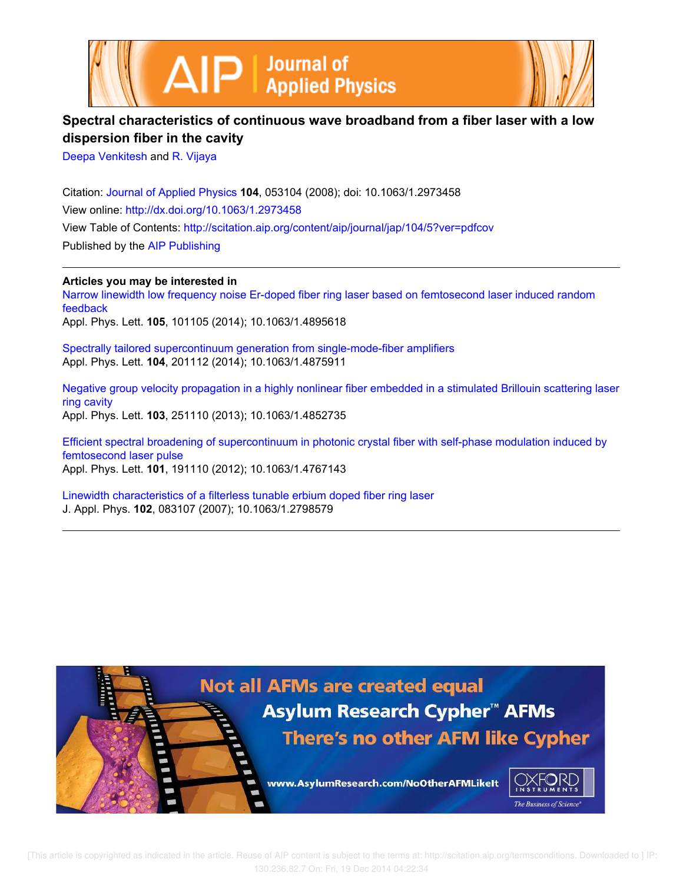



# **Spectral characteristics of continuous wave broadband from a fiber laser with a low dispersion fiber in the cavity**

Deepa Venkitesh and R. Vijaya

Citation: Journal of Applied Physics **104**, 053104 (2008); doi: 10.1063/1.2973458 View online: http://dx.doi.org/10.1063/1.2973458 View Table of Contents: http://scitation.aip.org/content/aip/journal/jap/104/5?ver=pdfcov Published by the AIP Publishing

**Articles you may be interested in**

Narrow linewidth low frequency noise Er-doped fiber ring laser based on femtosecond laser induced random feedback Appl. Phys. Lett. **105**, 101105 (2014); 10.1063/1.4895618

Spectrally tailored supercontinuum generation from single-mode-fiber amplifiers Appl. Phys. Lett. **104**, 201112 (2014); 10.1063/1.4875911

Negative group velocity propagation in a highly nonlinear fiber embedded in a stimulated Brillouin scattering laser ring cavity Appl. Phys. Lett. **103**, 251110 (2013); 10.1063/1.4852735

Efficient spectral broadening of supercontinuum in photonic crystal fiber with self-phase modulation induced by femtosecond laser pulse Appl. Phys. Lett. **101**, 191110 (2012); 10.1063/1.4767143

Linewidth characteristics of a filterless tunable erbium doped fiber ring laser J. Appl. Phys. **102**, 083107 (2007); 10.1063/1.2798579

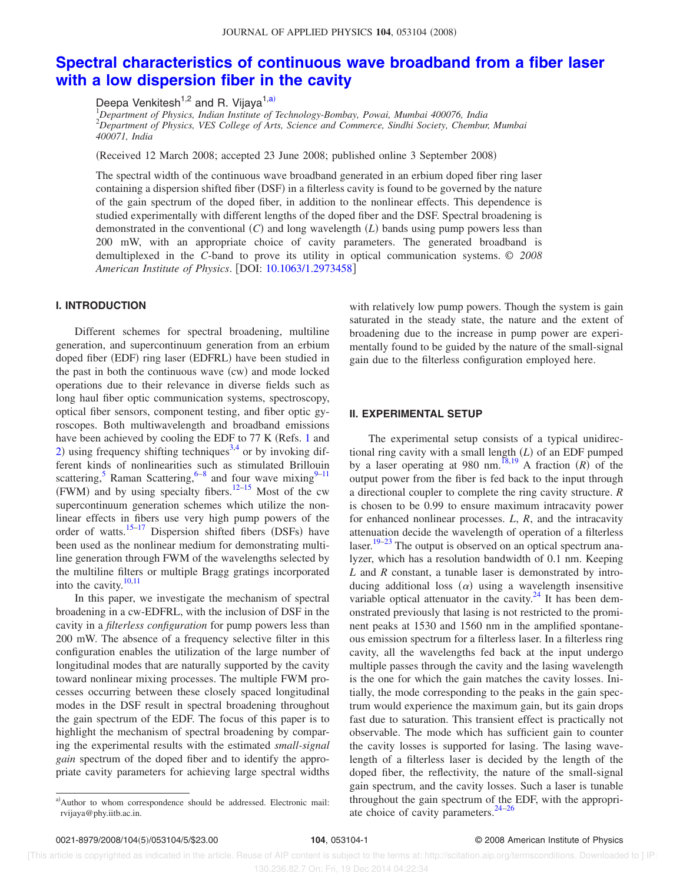## **Spectral characteristics of continuous wave broadband from a fiber laser with a low dispersion fiber in the cavity**

Deepa Venkitesh<sup>1,2</sup> and R. Vijaya<sup>1,a)</sup>

<sup>1</sup>*Department of Physics, Indian Institute of Technology-Bombay, Powai, Mumbai 400076, India* <sup>2</sup>*Department of Physics, VES College of Arts, Science and Commerce, Sindhi Society, Chembur, Mumbai 400071, India*

Received 12 March 2008; accepted 23 June 2008; published online 3 September 2008-

The spectral width of the continuous wave broadband generated in an erbium doped fiber ring laser containing a dispersion shifted fiber (DSF) in a filterless cavity is found to be governed by the nature of the gain spectrum of the doped fiber, in addition to the nonlinear effects. This dependence is studied experimentally with different lengths of the doped fiber and the DSF. Spectral broadening is demonstrated in the conventional (C) and long wavelength (L) bands using pump powers less than 200 mW, with an appropriate choice of cavity parameters. The generated broadband is demultiplexed in the *C*-band to prove its utility in optical communication systems. © *2008 American Institute of Physics*. DOI: 10.1063/1.2973458

### **I. INTRODUCTION**

Different schemes for spectral broadening, multiline generation, and supercontinuum generation from an erbium doped fiber (EDF) ring laser (EDFRL) have been studied in the past in both the continuous wave (cw) and mode locked operations due to their relevance in diverse fields such as long haul fiber optic communication systems, spectroscopy, optical fiber sensors, component testing, and fiber optic gyroscopes. Both multiwavelength and broadband emissions have been achieved by cooling the EDF to 77 K (Refs. 1 and 2) using frequency shifting techniques<sup>3,4</sup> or by invoking different kinds of nonlinearities such as stimulated Brillouin scattering, <sup>5</sup> Raman Scattering,  $6-8$  and four wave mixing  $9-11$ (FWM) and by using specialty fibers.<sup>12–15</sup> Most of the cw supercontinuum generation schemes which utilize the nonlinear effects in fibers use very high pump powers of the order of watts.<sup>15-17</sup> Dispersion shifted fibers (DSFs) have been used as the nonlinear medium for demonstrating multiline generation through FWM of the wavelengths selected by the multiline filters or multiple Bragg gratings incorporated into the cavity. $\frac{10,11}{2}$ 

In this paper, we investigate the mechanism of spectral broadening in a cw-EDFRL, with the inclusion of DSF in the cavity in a *filterless configuration* for pump powers less than 200 mW. The absence of a frequency selective filter in this configuration enables the utilization of the large number of longitudinal modes that are naturally supported by the cavity toward nonlinear mixing processes. The multiple FWM processes occurring between these closely spaced longitudinal modes in the DSF result in spectral broadening throughout the gain spectrum of the EDF. The focus of this paper is to highlight the mechanism of spectral broadening by comparing the experimental results with the estimated *small-signal gain* spectrum of the doped fiber and to identify the appropriate cavity parameters for achieving large spectral widths

with relatively low pump powers. Though the system is gain saturated in the steady state, the nature and the extent of broadening due to the increase in pump power are experimentally found to be guided by the nature of the small-signal gain due to the filterless configuration employed here.

### **II. EXPERIMENTAL SETUP**

The experimental setup consists of a typical unidirectional ring cavity with a small length  $(L)$  of an EDF pumped by a laser operating at 980 nm.<sup>18,19</sup> A fraction  $(R)$  of the output power from the fiber is fed back to the input through a directional coupler to complete the ring cavity structure. *R* is chosen to be 0.99 to ensure maximum intracavity power for enhanced nonlinear processes. *L*, *R*, and the intracavity attenuation decide the wavelength of operation of a filterless laser.<sup>19–23</sup> The output is observed on an optical spectrum analyzer, which has a resolution bandwidth of 0.1 nm. Keeping *L* and *R* constant, a tunable laser is demonstrated by introducing additional loss  $(\alpha)$  using a wavelength insensitive variable optical attenuator in the cavity. $^{24}$  It has been demonstrated previously that lasing is not restricted to the prominent peaks at 1530 and 1560 nm in the amplified spontaneous emission spectrum for a filterless laser. In a filterless ring cavity, all the wavelengths fed back at the input undergo multiple passes through the cavity and the lasing wavelength is the one for which the gain matches the cavity losses. Initially, the mode corresponding to the peaks in the gain spectrum would experience the maximum gain, but its gain drops fast due to saturation. This transient effect is practically not observable. The mode which has sufficient gain to counter the cavity losses is supported for lasing. The lasing wavelength of a filterless laser is decided by the length of the doped fiber, the reflectivity, the nature of the small-signal gain spectrum, and the cavity losses. Such a laser is tunable throughout the gain spectrum of the EDF, with the appropriate choice of cavity parameters. $24-26$ 

a)Author to whom correspondence should be addressed. Electronic mail: rvijaya@phy.iitb.ac.in.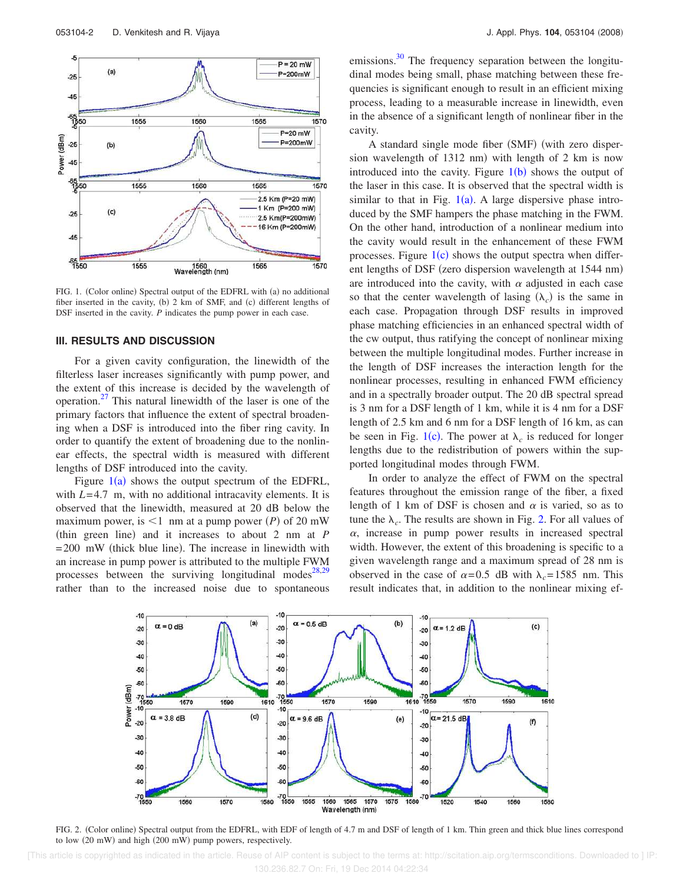

FIG. 1. (Color online) Spectral output of the EDFRL with (a) no additional fiber inserted in the cavity, (b) 2 km of SMF, and (c) different lengths of DSF inserted in the cavity. *P* indicates the pump power in each case.

#### **III. RESULTS AND DISCUSSION**

For a given cavity configuration, the linewidth of the filterless laser increases significantly with pump power, and the extent of this increase is decided by the wavelength of operation.<sup>27</sup> This natural linewidth of the laser is one of the primary factors that influence the extent of spectral broadening when a DSF is introduced into the fiber ring cavity. In order to quantify the extent of broadening due to the nonlinear effects, the spectral width is measured with different lengths of DSF introduced into the cavity.

Figure  $1(a)$  shows the output spectrum of the EDFRL, with *L*=4.7 m, with no additional intracavity elements. It is observed that the linewidth, measured at 20 dB below the maximum power, is  $\leq 1$  nm at a pump power *(P)* of 20 mW (thin green line) and it increases to about  $2 \text{ nm}$  at  $P$  $= 200$  mW (thick blue line). The increase in linewidth with an increase in pump power is attributed to the multiple FWM processes between the surviving longitudinal modes<sup>28,29</sup> rather than to the increased noise due to spontaneous emissions.<sup>30</sup> The frequency separation between the longitudinal modes being small, phase matching between these frequencies is significant enough to result in an efficient mixing process, leading to a measurable increase in linewidth, even in the absence of a significant length of nonlinear fiber in the cavity.

A standard single mode fiber (SMF) (with zero dispersion wavelength of 1312 nm) with length of 2 km is now introduced into the cavity. Figure  $1(b)$  shows the output of the laser in this case. It is observed that the spectral width is similar to that in Fig.  $1(a)$ . A large dispersive phase introduced by the SMF hampers the phase matching in the FWM. On the other hand, introduction of a nonlinear medium into the cavity would result in the enhancement of these FWM processes. Figure  $1(c)$  shows the output spectra when different lengths of DSF (zero dispersion wavelength at 1544 nm) are introduced into the cavity, with  $\alpha$  adjusted in each case so that the center wavelength of lasing  $(\lambda_c)$  is the same in each case. Propagation through DSF results in improved phase matching efficiencies in an enhanced spectral width of the cw output, thus ratifying the concept of nonlinear mixing between the multiple longitudinal modes. Further increase in the length of DSF increases the interaction length for the nonlinear processes, resulting in enhanced FWM efficiency and in a spectrally broader output. The 20 dB spectral spread is 3 nm for a DSF length of 1 km, while it is 4 nm for a DSF length of 2.5 km and 6 nm for a DSF length of 16 km, as can be seen in Fig. 1(c). The power at  $\lambda_c$  is reduced for longer lengths due to the redistribution of powers within the supported longitudinal modes through FWM.

In order to analyze the effect of FWM on the spectral features throughout the emission range of the fiber, a fixed length of 1 km of DSF is chosen and  $\alpha$  is varied, so as to tune the  $\lambda_c$ . The results are shown in Fig. 2. For all values of  $\alpha$ , increase in pump power results in increased spectral width. However, the extent of this broadening is specific to a given wavelength range and a maximum spread of 28 nm is observed in the case of  $\alpha = 0.5$  dB with  $\lambda_c = 1585$  nm. This result indicates that, in addition to the nonlinear mixing ef-



FIG. 2. (Color online) Spectral output from the EDFRL, with EDF of length of 4.7 m and DSF of length of 1 km. Thin green and thick blue lines correspond to low (20 mW) and high (200 mW) pump powers, respectively.

 [This article is copyrighted as indicated in the article. Reuse of AIP content is subject to the terms at: http://scitation.aip.org/termsconditions. Downloaded to ] IP: 130.236.82.7 On: Fri, 19 Dec 2014 04:22:34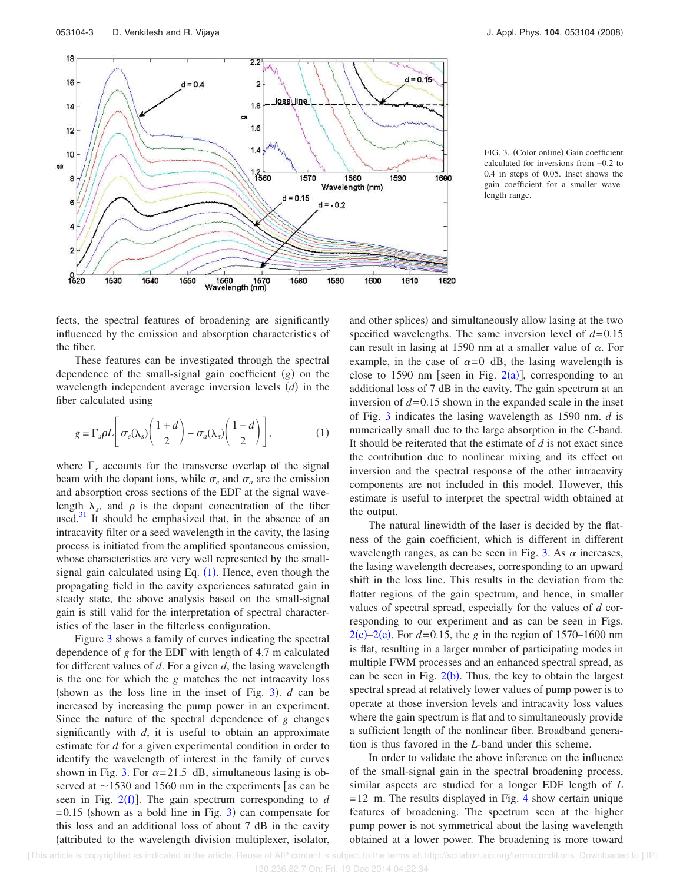

FIG. 3. (Color online) Gain coefficient calculated for inversions from −0.2 to 0.4 in steps of 0.05. Inset shows the gain coefficient for a smaller wavelength range.

fects, the spectral features of broadening are significantly influenced by the emission and absorption characteristics of the fiber.

These features can be investigated through the spectral dependence of the small-signal gain coefficient  $(g)$  on the wavelength independent average inversion levels  $(d)$  in the fiber calculated using

$$
g = \Gamma_s \rho L \left[ \sigma_e(\lambda_s) \left( \frac{1+d}{2} \right) - \sigma_a(\lambda_s) \left( \frac{1-d}{2} \right) \right],\tag{1}
$$

where  $\Gamma_s$  accounts for the transverse overlap of the signal beam with the dopant ions, while  $\sigma_e$  and  $\sigma_a$  are the emission and absorption cross sections of the EDF at the signal wavelength  $\lambda_s$ , and  $\rho$  is the dopant concentration of the fiber used. $31$  It should be emphasized that, in the absence of an intracavity filter or a seed wavelength in the cavity, the lasing process is initiated from the amplified spontaneous emission, whose characteristics are very well represented by the smallsignal gain calculated using Eq.  $(1)$ . Hence, even though the propagating field in the cavity experiences saturated gain in steady state, the above analysis based on the small-signal gain is still valid for the interpretation of spectral characteristics of the laser in the filterless configuration.

Figure 3 shows a family of curves indicating the spectral dependence of *g* for the EDF with length of 4.7 m calculated for different values of *d*. For a given *d*, the lasing wavelength is the one for which the *g* matches the net intracavity loss (shown as the loss line in the inset of Fig.  $3$ ). *d* can be increased by increasing the pump power in an experiment. Since the nature of the spectral dependence of *g* changes significantly with *d*, it is useful to obtain an approximate estimate for *d* for a given experimental condition in order to identify the wavelength of interest in the family of curves shown in Fig. 3. For  $\alpha = 21.5$  dB, simultaneous lasing is observed at  $\sim$ 1530 and 1560 nm in the experiments as can be seen in Fig.  $2(f)$ ]. The gain spectrum corresponding to *d*  $=0.15$  (shown as a bold line in Fig. 3) can compensate for this loss and an additional loss of about 7 dB in the cavity attributed to the wavelength division multiplexer, isolator,

and other splices) and simultaneously allow lasing at the two specified wavelengths. The same inversion level of  $d=0.15$ can result in lasing at 1590 nm at a smaller value of  $\alpha$ . For example, in the case of  $\alpha=0$  dB, the lasing wavelength is close to 1590 nm [seen in Fig.  $2(a)$ ], corresponding to an additional loss of 7 dB in the cavity. The gain spectrum at an inversion of  $d=0.15$  shown in the expanded scale in the inset of Fig. 3 indicates the lasing wavelength as 1590 nm. *d* is numerically small due to the large absorption in the *C*-band. It should be reiterated that the estimate of *d* is not exact since the contribution due to nonlinear mixing and its effect on inversion and the spectral response of the other intracavity components are not included in this model. However, this estimate is useful to interpret the spectral width obtained at the output.

The natural linewidth of the laser is decided by the flatness of the gain coefficient, which is different in different wavelength ranges, as can be seen in Fig. 3. As  $\alpha$  increases, the lasing wavelength decreases, corresponding to an upward shift in the loss line. This results in the deviation from the flatter regions of the gain spectrum, and hence, in smaller values of spectral spread, especially for the values of *d* corresponding to our experiment and as can be seen in Figs.  $2(c) - 2(e)$ . For  $d = 0.15$ , the *g* in the region of 1570–1600 nm is flat, resulting in a larger number of participating modes in multiple FWM processes and an enhanced spectral spread, as can be seen in Fig.  $2(b)$ . Thus, the key to obtain the largest spectral spread at relatively lower values of pump power is to operate at those inversion levels and intracavity loss values where the gain spectrum is flat and to simultaneously provide a sufficient length of the nonlinear fiber. Broadband generation is thus favored in the *L*-band under this scheme.

In order to validate the above inference on the influence of the small-signal gain in the spectral broadening process, similar aspects are studied for a longer EDF length of *L*  $=12$  m. The results displayed in Fig. 4 show certain unique features of broadening. The spectrum seen at the higher pump power is not symmetrical about the lasing wavelength obtained at a lower power. The broadening is more toward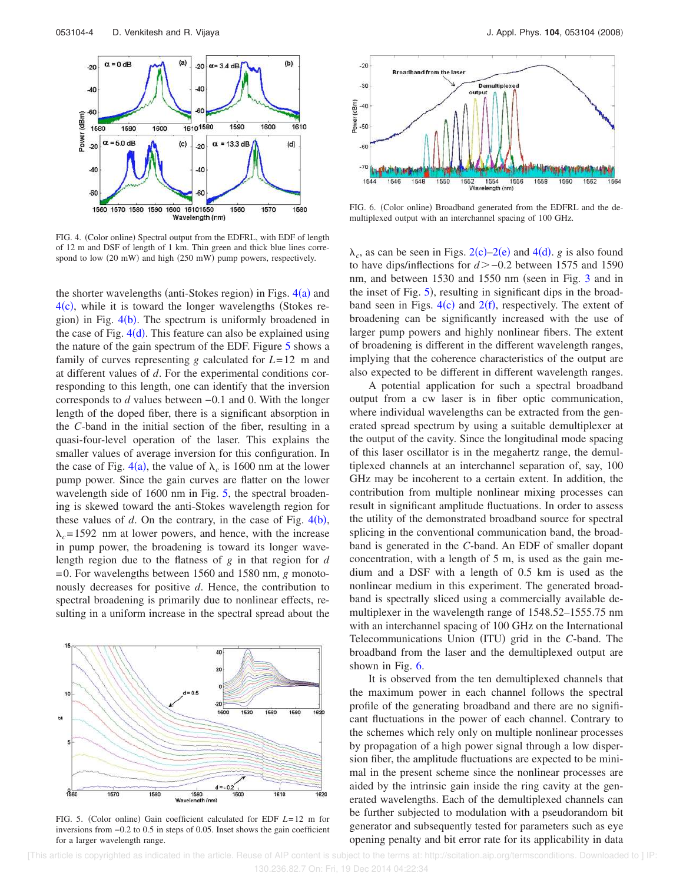

FIG. 4. (Color online) Spectral output from the EDFRL, with EDF of length of 12 m and DSF of length of 1 km. Thin green and thick blue lines correspond to low (20 mW) and high (250 mW) pump powers, respectively.

the shorter wavelengths (anti-Stokes region) in Figs.  $4(a)$  and  $4(c)$ , while it is toward the longer wavelengths (Stokes region) in Fig. 4(b). The spectrum is uniformly broadened in the case of Fig.  $4(d)$ . This feature can also be explained using the nature of the gain spectrum of the EDF. Figure 5 shows a family of curves representing *g* calculated for *L*=12 m and at different values of *d*. For the experimental conditions corresponding to this length, one can identify that the inversion corresponds to *d* values between −0.1 and 0. With the longer length of the doped fiber, there is a significant absorption in the *C*-band in the initial section of the fiber, resulting in a quasi-four-level operation of the laser. This explains the smaller values of average inversion for this configuration. In the case of Fig.  $4(a)$ , the value of  $\lambda_c$  is 1600 nm at the lower pump power. Since the gain curves are flatter on the lower wavelength side of 1600 nm in Fig. 5, the spectral broadening is skewed toward the anti-Stokes wavelength region for these values of  $d$ . On the contrary, in the case of Fig.  $4(b)$ ,  $\lambda_c$ =1592 nm at lower powers, and hence, with the increase in pump power, the broadening is toward its longer wavelength region due to the flatness of *g* in that region for *d* =0. For wavelengths between 1560 and 1580 nm, *g* monotonously decreases for positive *d*. Hence, the contribution to spectral broadening is primarily due to nonlinear effects, resulting in a uniform increase in the spectral spread about the

40  $20$  $0.6$  $-20$ 



FIG. 6. (Color online) Broadband generated from the EDFRL and the demultiplexed output with an interchannel spacing of 100 GHz.

 $\lambda_c$ , as can be seen in Figs. 2(c)–2(e) and 4(d). *g* is also found to have dips/inflections for *d*−0.2 between 1575 and 1590 nm, and between  $1530$  and  $1550$  nm (seen in Fig. 3 and in the inset of Fig. 5), resulting in significant dips in the broadband seen in Figs.  $4(c)$  and  $2(f)$ , respectively. The extent of broadening can be significantly increased with the use of larger pump powers and highly nonlinear fibers. The extent of broadening is different in the different wavelength ranges, implying that the coherence characteristics of the output are also expected to be different in different wavelength ranges.

A potential application for such a spectral broadband output from a cw laser is in fiber optic communication, where individual wavelengths can be extracted from the generated spread spectrum by using a suitable demultiplexer at the output of the cavity. Since the longitudinal mode spacing of this laser oscillator is in the megahertz range, the demultiplexed channels at an interchannel separation of, say, 100 GHz may be incoherent to a certain extent. In addition, the contribution from multiple nonlinear mixing processes can result in significant amplitude fluctuations. In order to assess the utility of the demonstrated broadband source for spectral splicing in the conventional communication band, the broadband is generated in the *C*-band. An EDF of smaller dopant concentration, with a length of 5 m, is used as the gain medium and a DSF with a length of 0.5 km is used as the nonlinear medium in this experiment. The generated broadband is spectrally sliced using a commercially available demultiplexer in the wavelength range of 1548.52–1555.75 nm with an interchannel spacing of 100 GHz on the International Telecommunications Union (ITU) grid in the *C*-band. The broadband from the laser and the demultiplexed output are shown in Fig. 6.

It is observed from the ten demultiplexed channels that the maximum power in each channel follows the spectral profile of the generating broadband and there are no significant fluctuations in the power of each channel. Contrary to the schemes which rely only on multiple nonlinear processes by propagation of a high power signal through a low dispersion fiber, the amplitude fluctuations are expected to be minimal in the present scheme since the nonlinear processes are aided by the intrinsic gain inside the ring cavity at the generated wavelengths. Each of the demultiplexed channels can be further subjected to modulation with a pseudorandom bit generator and subsequently tested for parameters such as eye opening penalty and bit error rate for its applicability in data



FIG. 5. (Color online) Gain coefficient calculated for EDF *L*=12 m for inversions from −0.2 to 0.5 in steps of 0.05. Inset shows the gain coefficient for a larger wavelength range.

 [This article is copyrighted as indicated in the article. Reuse of AIP content is subject to the terms at: http://scitation.aip.org/termsconditions. Downloaded to ] IP: 130.236.82.7 On: Fri, 19 Dec 2014 04:22:34